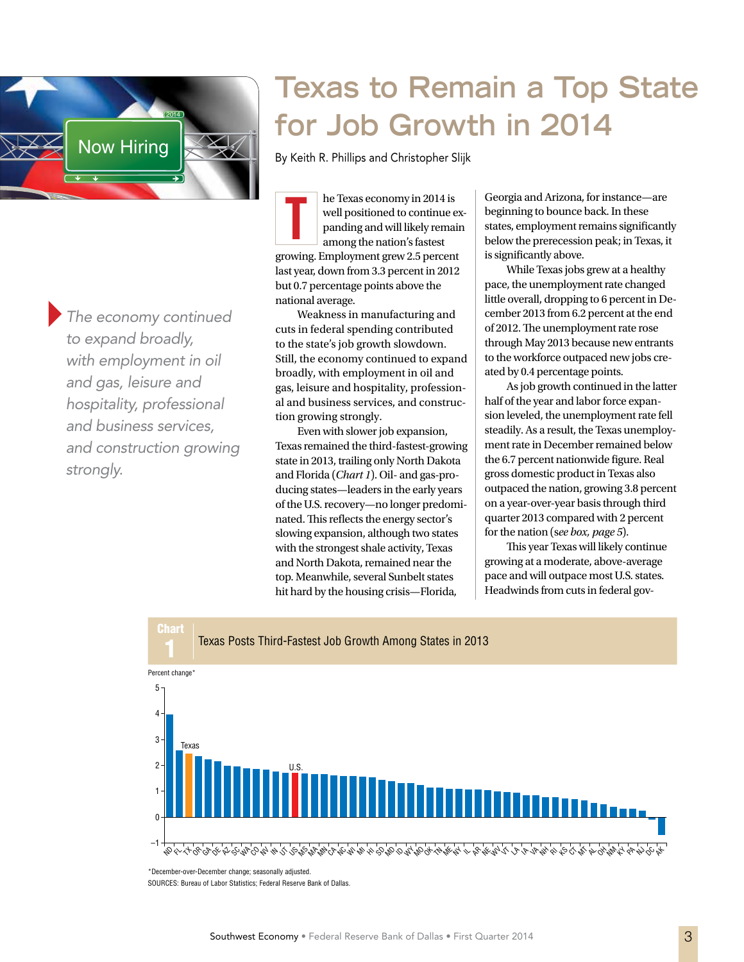

}*The economy continued to expand broadly, with employment in oil and gas, leisure and hospitality, professional and business services, and construction growing strongly.*

# **Texas to Remain a Top State for Job Growth in 2014**

By Keith R. Phillips and Christopher Slijk

he Texas economy in 2014 is well positioned to continue expanding and will likely remain among the nation's fastest growing. Employment grew 2.5 percent last year, down from 3.3 percent in 2012 but 0.7 percentage points above the national average. T

Weakness in manufacturing and cuts in federal spending contributed to the state's job growth slowdown. Still, the economy continued to expand broadly, with employment in oil and gas, leisure and hospitality, professional and business services, and construction growing strongly.

Even with slower job expansion, Texas remained the third-fastest-growing state in 2013, trailing only North Dakota and Florida (*Chart 1*). Oil- and gas-producing states—leaders in the early years of the U.S. recovery—no longer predominated. This reflects the energy sector's slowing expansion, although two states with the strongest shale activity, Texas and North Dakota, remained near the top. Meanwhile, several Sunbelt states hit hard by the housing crisis—Florida,

Georgia and Arizona, for instance—are beginning to bounce back. In these states, employment remains significantly below the prerecession peak; in Texas, it is significantly above.

While Texas jobs grew at a healthy pace, the unemployment rate changed little overall, dropping to 6 percent in December 2013 from 6.2 percent at the end of 2012. The unemployment rate rose through May 2013 because new entrants to the workforce outpaced new jobs created by 0.4 percentage points.

As job growth continued in the latter half of the year and labor force expansion leveled, the unemployment rate fell steadily. As a result, the Texas unemployment rate in December remained below the 6.7 percent nationwide figure. Real gross domestic product in Texas also outpaced the nation, growing 3.8 percent on a year-over-year basis through third quarter 2013 compared with 2 percent for the nation (s*ee box, page 5*).

This year Texas will likely continue growing at a moderate, above-average pace and will outpace most U.S. states. Headwinds from cuts in federal gov-



SOURCES: Bureau of Labor Statistics; Federal Reserve Bank of Dallas.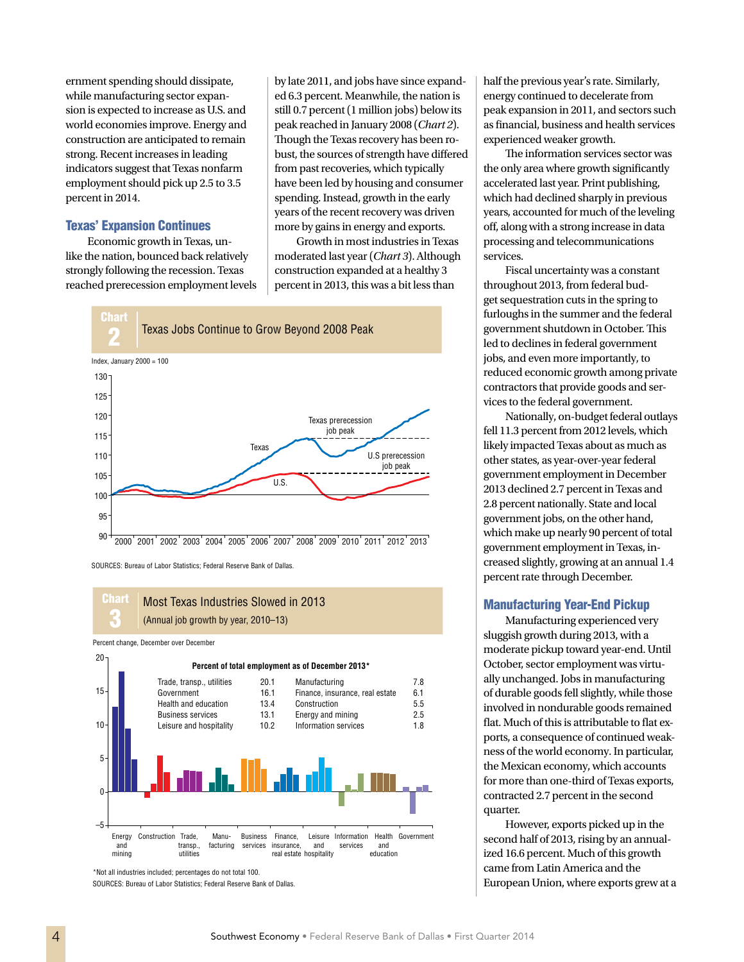ernment spending should dissipate, while manufacturing sector expansion is expected to increase as U.S. and world economies improve. Energy and construction are anticipated to remain strong. Recent increases in leading indicators suggest that Texas nonfarm employment should pick up 2.5 to 3.5 percent in 2014.

## Texas' Expansion Continues

Economic growth in Texas, unlike the nation, bounced back relatively strongly following the recession. Texas reached prerecession employment levels by late 2011, and jobs have since expanded 6.3 percent. Meanwhile, the nation is still 0.7 percent (1 million jobs) below its peak reached in January 2008 (*Chart 2*). Though the Texas recovery has been robust, the sources of strength have differed from past recoveries, which typically have been led by housing and consumer spending. Instead, growth in the early years of the recent recovery was driven more by gains in energy and exports.

Growth in most industries in Texas moderated last year (*Chart 3*). Although construction expanded at a healthy 3 percent in 2013, this was a bit less than



SOURCES: Bureau of Labor Statistics: Federal Reserve Bank of Dallas.

#### **Chart** 3 Most Texas Industries Slowed in 2013 (Annual job growth by year, 2010–13)

Percent change, December over December



<sup>\*</sup>Not all industries included; percentages do not total 100.

SOURCES: Bureau of Labor Statistics; Federal Reserve Bank of Dallas.

half the previous year's rate. Similarly, energy continued to decelerate from peak expansion in 2011, and sectors such as financial, business and health services experienced weaker growth.

The information services sector was the only area where growth significantly accelerated last year. Print publishing, which had declined sharply in previous years, accounted for much of the leveling off, along with a strong increase in data processing and telecommunications services.

Fiscal uncertainty was a constant throughout 2013, from federal budget sequestration cuts in the spring to furloughs in the summer and the federal government shutdown in October. This led to declines in federal government jobs, and even more importantly, to reduced economic growth among private contractors that provide goods and services to the federal government.

Nationally, on-budget federal outlays fell 11.3 percent from 2012 levels, which likely impacted Texas about as much as other states, as year-over-year federal government employment in December 2013 declined 2.7 percent in Texas and 2.8 percent nationally. State and local government jobs, on the other hand, which make up nearly 90 percent of total government employment in Texas, increased slightly, growing at an annual 1.4 percent rate through December.

### Manufacturing Year-End Pickup

Manufacturing experienced very sluggish growth during 2013, with a moderate pickup toward year-end. Until October, sector employment was virtually unchanged. Jobs in manufacturing of durable goods fell slightly, while those involved in nondurable goods remained flat. Much of this is attributable to flat exports, a consequence of continued weakness of the world economy. In particular, the Mexican economy, which accounts for more than one-third of Texas exports, contracted 2.7 percent in the second quarter.

However, exports picked up in the second half of 2013, rising by an annualized 16.6 percent. Much of this growth came from Latin America and the European Union, where exports grew at a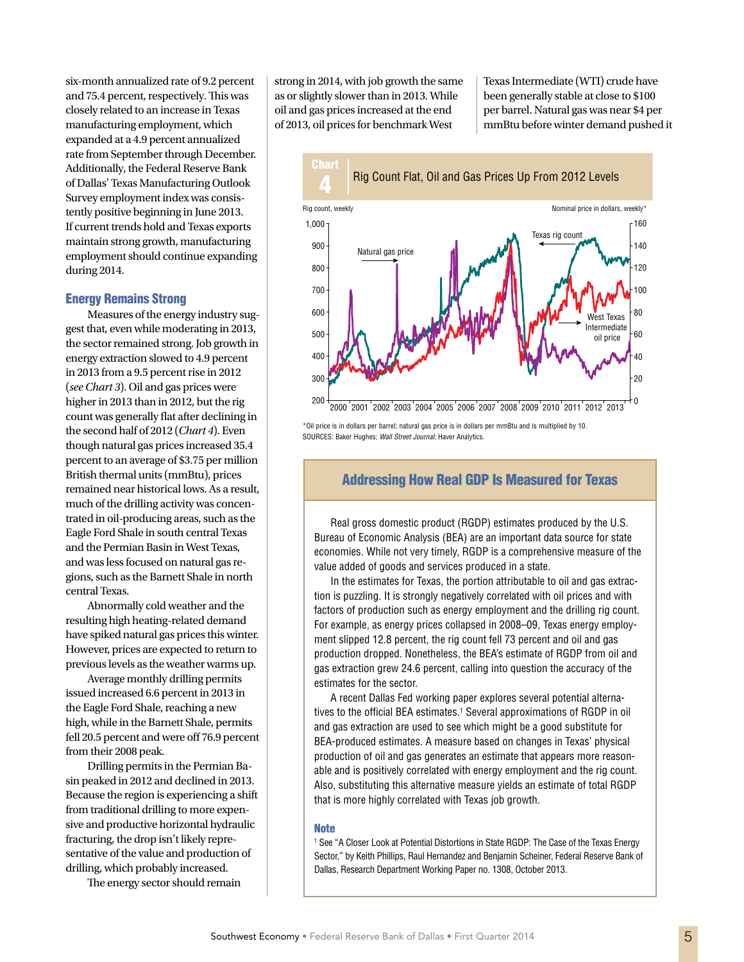six-month annualized rate of 9.2 percent and 75.4 percent, respectively. This was closely related to an increase in Texas manufacturing employment, which expanded at a 4.9 percent annualized rate from September through December. Additionally, the Federal Reserve Bank of Dallas' Texas Manufacturing Outlook Survey employment index was consistently positive beginning in June 2013. If current trends hold and Texas exports maintain strong growth, manufacturing employment should continue expanding during 2014.

#### Energy Remains Strong

Measures of the energy industry suggest that, even while moderating in 2013, the sector remained strong. Job growth in energy extraction slowed to 4.9 percent in 2013 from a 9.5 percent rise in 2012 (*see Chart 3*). Oil and gas prices were higher in 2013 than in 2012, but the rig count was generally flat after declining in the second half of 2012 (*Chart 4*). Even though natural gas prices increased 35.4 percent to an average of \$3.75 per million British thermal units (mmBtu), prices remained near historical lows. As a result, much of the drilling activity was concentrated in oil-producing areas, such as the Eagle Ford Shale in south central Texas and the Permian Basin in West Texas, and was less focused on natural gas regions, such as the Barnett Shale in north central Texas.

Abnormally cold weather and the resulting high heating-related demand have spiked natural gas prices this winter. However, prices are expected to return to previous levels as the weather warms up.

Average monthly drilling permits issued increased 6.6 percent in 2013 in the Eagle Ford Shale, reaching a new high, while in the Barnett Shale, permits fell 20.5 percent and were off 76.9 percent from their 2008 peak.

Drilling permits in the Permian Basin peaked in 2012 and declined in 2013. Because the region is experiencing a shift from traditional drilling to more expensive and productive horizontal hydraulic fracturing, the drop isn't likely representative of the value and production of drilling, which probably increased.

The energy sector should remain

strong in 2014, with job growth the same as or slightly slower than in 2013. While oil and gas prices increased at the end of 2013, oil prices for benchmark West

Texas Intermediate (WTI) crude have been generally stable at close to \$100 per barrel. Natural gas was near \$4 per mmBtu before winter demand pushed it



\*Oil price is in dollars per barrel; natural gas price is in dollars per mmBtu and is multiplied by 10. SOURCES: Baker Hughes; *Wall Street Journal*; Haver Analytics.

## Addressing How Real GDP Is Measured for Texas

Real gross domestic product (RGDP) estimates produced by the U.S. Bureau of Economic Analysis (BEA) are an important data source for state economies. While not very timely, RGDP is a comprehensive measure of the value added of goods and services produced in a state.

In the estimates for Texas, the portion attributable to oil and gas extraction is puzzling. It is strongly negatively correlated with oil prices and with factors of production such as energy employment and the drilling rig count. For example, as energy prices collapsed in 2008–09, Texas energy employment slipped 12.8 percent, the rig count fell 73 percent and oil and gas production dropped. Nonetheless, the BEA's estimate of RGDP from oil and gas extraction grew 24.6 percent, calling into question the accuracy of the estimates for the sector.

A recent Dallas Fed working paper explores several potential alternatives to the official BEA estimates.<sup>1</sup> Several approximations of RGDP in oil and gas extraction are used to see which might be a good substitute for BEA-produced estimates. A measure based on changes in Texas' physical production of oil and gas generates an estimate that appears more reasonable and is positively correlated with energy employment and the rig count. Also, substituting this alternative measure yields an estimate of total RGDP that is more highly correlated with Texas job growth.

#### **Note**

1 See "A Closer Look at Potential Distortions in State RGDP: The Case of the Texas Energy Sector," by Keith Phillips, Raul Hernandez and Benjamin Scheiner, Federal Reserve Bank of Dallas, Research Department Working Paper no. 1308, October 2013.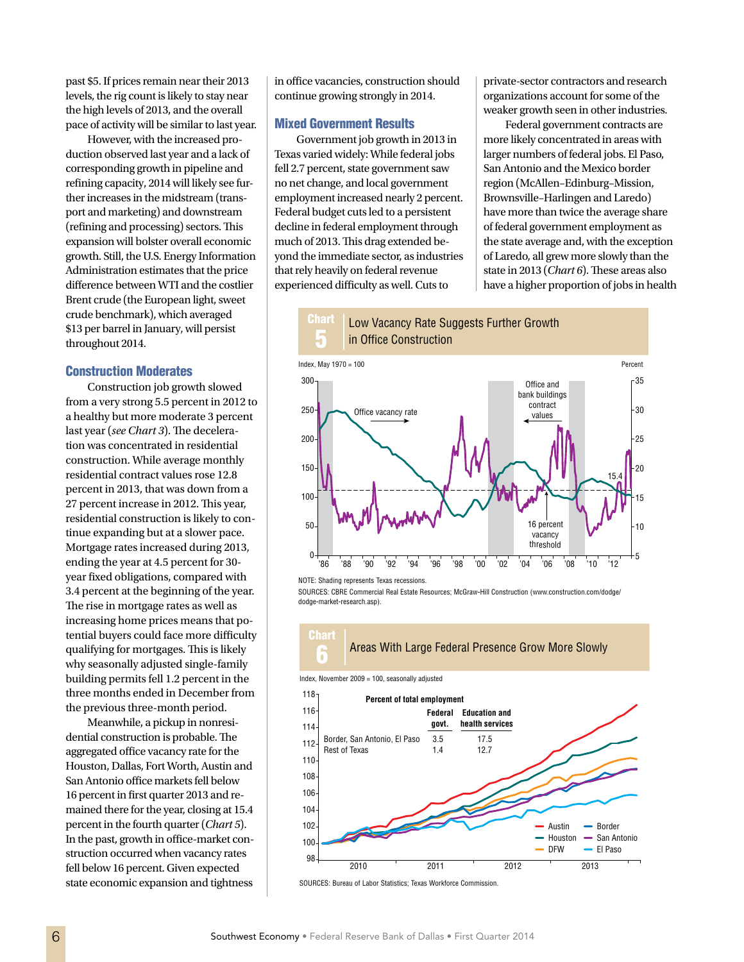past \$5. If prices remain near their 2013 levels, the rig count is likely to stay near the high levels of 2013, and the overall pace of activity will be similar to last year.

However, with the increased production observed last year and a lack of corresponding growth in pipeline and refining capacity, 2014 will likely see further increases in the midstream (transport and marketing) and downstream (refining and processing) sectors. This expansion will bolster overall economic growth. Still, the U.S. Energy Information Administration estimates that the price difference between WTI and the costlier Brent crude (the European light, sweet crude benchmark), which averaged \$13 per barrel in January, will persist throughout 2014.

#### Construction Moderates

Construction job growth slowed from a very strong 5.5 percent in 2012 to a healthy but more moderate 3 percent last year (*see Chart 3*). The deceleration was concentrated in residential construction. While average monthly residential contract values rose 12.8 percent in 2013, that was down from a 27 percent increase in 2012. This year, residential construction is likely to continue expanding but at a slower pace. Mortgage rates increased during 2013, ending the year at 4.5 percent for 30 year fixed obligations, compared with 3.4 percent at the beginning of the year. The rise in mortgage rates as well as increasing home prices means that potential buyers could face more difficulty qualifying for mortgages. This is likely why seasonally adjusted single-family building permits fell 1.2 percent in the three months ended in December from the previous three-month period.

Meanwhile, a pickup in nonresidential construction is probable. The aggregated office vacancy rate for the Houston, Dallas, Fort Worth, Austin and San Antonio office markets fell below 16 percent in first quarter 2013 and remained there for the year, closing at 15.4 percent in the fourth quarter (*Chart 5*). In the past, growth in office-market construction occurred when vacancy rates fell below 16 percent. Given expected state economic expansion and tightness

in office vacancies, construction should continue growing strongly in 2014.

#### Mixed Government Results

Government job growth in 2013 in Texas varied widely: While federal jobs fell 2.7 percent, state government saw no net change, and local government employment increased nearly 2 percent. Federal budget cuts led to a persistent decline in federal employment through much of 2013. This drag extended beyond the immediate sector, as industries that rely heavily on federal revenue experienced difficulty as well. Cuts to

private-sector contractors and research organizations account for some of the weaker growth seen in other industries.

Federal government contracts are more likely concentrated in areas with larger numbers of federal jobs. El Paso, San Antonio and the Mexico border region (McAllen–Edinburg–Mission, Brownsville–Harlingen and Laredo) have more than twice the average share of federal government employment as the state average and, with the exception of Laredo, all grew more slowly than the state in 2013 (*Chart 6*). These areas also have a higher proportion of jobs in health





NOTE: Shading represents Texas recessions.

SOURCES: CBRE Commercial Real Estate Resources; McGraw-Hill Construction (www.construction.com/dodge/ dodge-market-research.asp).





SOURCES: Bureau of Labor Statistics; Texas Workforce Commission.